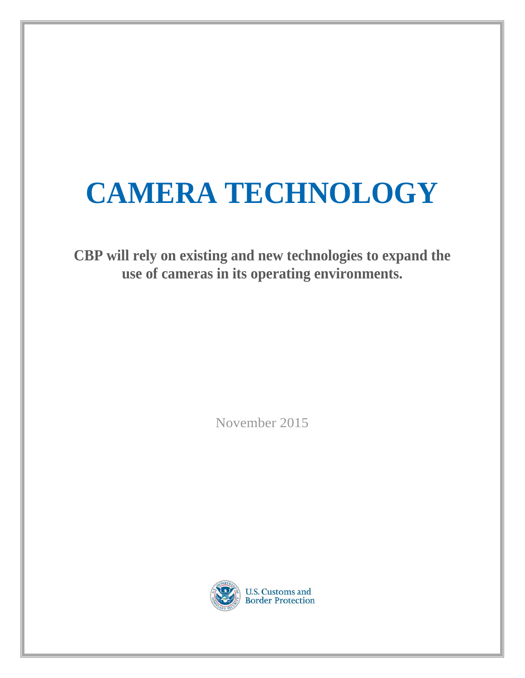## **CAMERA TECHNOLOGY**

**CBP will rely on existing and new technologies to expand the use of cameras in its operating environments.** 

November 2015

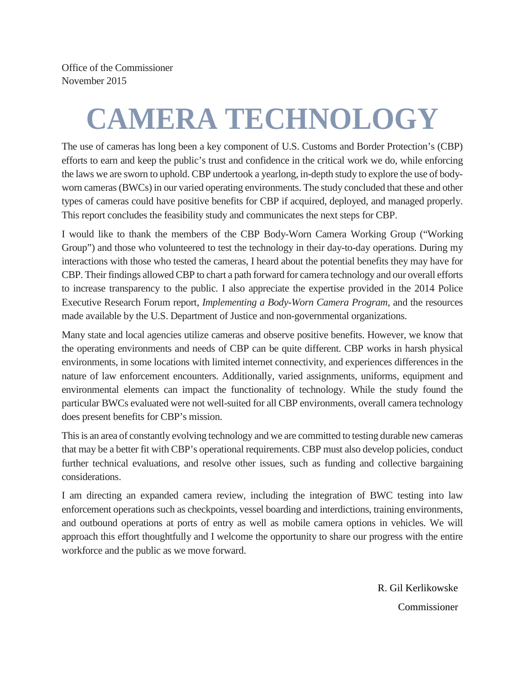Office of the Commissioner November 2015

# **CAMERA TECHNOLOGY**

The use of cameras has long been a key component of U.S. Customs and Border Protection's (CBP) efforts to earn and keep the public's trust and confidence in the critical work we do, while enforcing the laws we are sworn to uphold. CBP undertook a yearlong, in-depth study to explore the use of bodyworn cameras (BWCs) in our varied operating environments. The study concluded that these and other types of cameras could have positive benefits for CBP if acquired, deployed, and managed properly. This report concludes the feasibility study and communicates the next steps for CBP.

I would like to thank the members of the CBP Body-Worn Camera Working Group ("Working Group") and those who volunteered to test the technology in their day-to-day operations. During my interactions with those who tested the cameras, I heard about the potential benefits they may have for CBP. Their findings allowed CBP to chart a path forward for camera technology and our overall efforts to increase transparency to the public. I also appreciate the expertise provided in the 2014 Police Executive Research Forum report, *Implementing a Body-Worn Camera Program*, and the resources made available by the U.S. Department of Justice and non-governmental organizations.

Many state and local agencies utilize cameras and observe positive benefits. However, we know that the operating environments and needs of CBP can be quite different. CBP works in harsh physical environments, in some locations with limited internet connectivity, and experiences differences in the nature of law enforcement encounters. Additionally, varied assignments, uniforms, equipment and environmental elements can impact the functionality of technology. While the study found the particular BWCs evaluated were not well-suited for all CBP environments, overall camera technology does present benefits for CBP's mission.

This is an area of constantly evolving technology and we are committed to testing durable new cameras that may be a better fit with CBP's operational requirements. CBP must also develop policies, conduct further technical evaluations, and resolve other issues, such as funding and collective bargaining considerations.

I am directing an expanded camera review, including the integration of BWC testing into law enforcement operations such as checkpoints, vessel boarding and interdictions, training environments, and outbound operations at ports of entry as well as mobile camera options in vehicles. We will approach this effort thoughtfully and I welcome the opportunity to share our progress with the entire workforce and the public as we move forward.

> R. Gil Kerlikowske **Commissioner**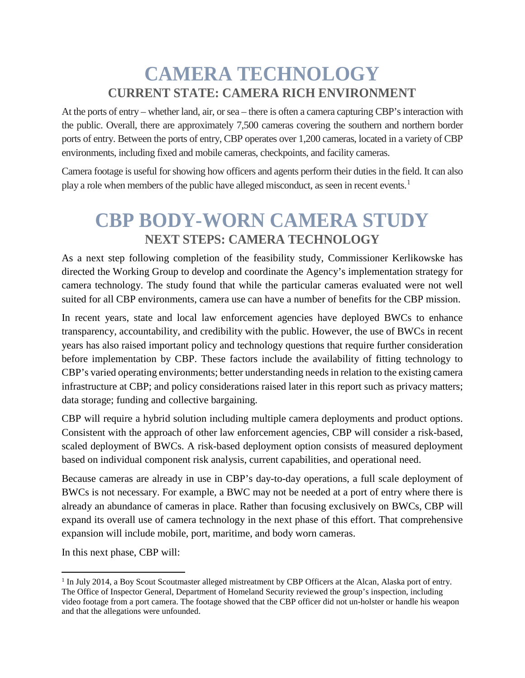#### **CAMERA TECHNOLOGY CURRENT STATE: CAMERA RICH ENVIRONMENT**

At the ports of entry – whether land, air, or sea – there is often a camera capturing CBP's interaction with the public. Overall, there are approximately 7,500 cameras covering the southern and northern border ports of entry. Between the ports of entry, CBP operates over 1,200 cameras, located in a variety of CBP environments, including fixed and mobile cameras, checkpoints, and facility cameras.

Camera footage is useful for showing how officers and agents perform their duties in the field. It can also play a role when members of the public have alleged misconduct, as seen in recent events.<sup>[1](#page-4-0)</sup>

#### **CBP BODY-WORN CAMERA STUDY NEXT STEPS: CAMERA TECHNOLOGY**

As a next step following completion of the feasibility study, Commissioner Kerlikowske has directed the Working Group to develop and coordinate the Agency's implementation strategy for camera technology. The study found that while the particular cameras evaluated were not well suited for all CBP environments, camera use can have a number of benefits for the CBP mission.

In recent years, state and local law enforcement agencies have deployed BWCs to enhance transparency, accountability, and credibility with the public. However, the use of BWCs in recent years has also raised important policy and technology questions that require further consideration before implementation by CBP. These factors include the availability of fitting technology to CBP's varied operating environments; better understanding needs in relation to the existing camera infrastructure at CBP; and policy considerations raised later in this report such as privacy matters; data storage; funding and collective bargaining.

CBP will require a hybrid solution including multiple camera deployments and product options. Consistent with the approach of other law enforcement agencies, CBP will consider a risk-based, scaled deployment of BWCs. A risk-based deployment option consists of measured deployment based on individual component risk analysis, current capabilities, and operational need.

Because cameras are already in use in CBP's day-to-day operations, a full scale deployment of BWCs is not necessary. For example, a BWC may not be needed at a port of entry where there is already an abundance of cameras in place. Rather than focusing exclusively on BWCs, CBP will expand its overall use of camera technology in the next phase of this effort. That comprehensive expansion will include mobile, port, maritime, and body worn cameras.

In this next phase, CBP will:

l

<span id="page-4-0"></span><sup>&</sup>lt;sup>1</sup> In July 2014, a Boy Scout Scoutmaster alleged mistreatment by CBP Officers at the Alcan, Alaska port of entry. The Office of Inspector General, Department of Homeland Security reviewed the group's inspection, including video footage from a port camera. The footage showed that the CBP officer did not un-holster or handle his weapon and that the allegations were unfounded.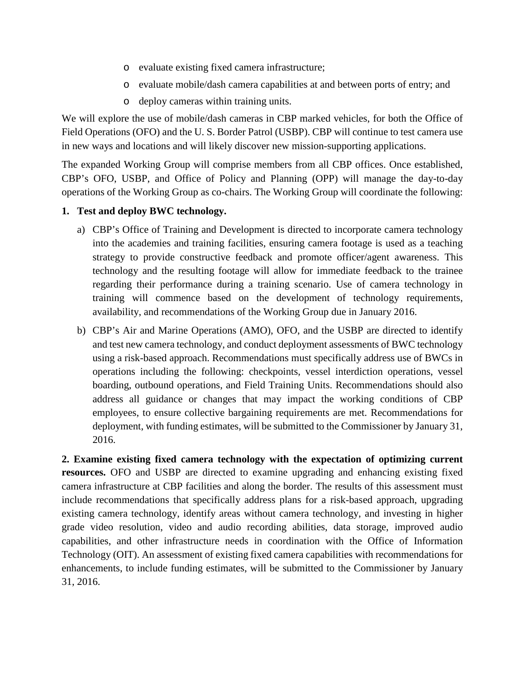- o evaluate existing fixed camera infrastructure;
- o evaluate mobile/dash camera capabilities at and between ports of entry; and
- o deploy cameras within training units.

We will explore the use of mobile/dash cameras in CBP marked vehicles, for both the Office of Field Operations (OFO) and the U. S. Border Patrol (USBP). CBP will continue to test camera use in new ways and locations and will likely discover new mission-supporting applications.

The expanded Working Group will comprise members from all CBP offices. Once established, CBP's OFO, USBP, and Office of Policy and Planning (OPP) will manage the day-to-day operations of the Working Group as co-chairs. The Working Group will coordinate the following:

#### **1. Test and deploy BWC technology.**

- a) CBP's Office of Training and Development is directed to incorporate camera technology into the academies and training facilities, ensuring camera footage is used as a teaching strategy to provide constructive feedback and promote officer/agent awareness. This technology and the resulting footage will allow for immediate feedback to the trainee regarding their performance during a training scenario. Use of camera technology in training will commence based on the development of technology requirements, availability, and recommendations of the Working Group due in January 2016.
- b) CBP's Air and Marine Operations (AMO), OFO, and the USBP are directed to identify and test new camera technology, and conduct deployment assessments of BWC technology using a risk-based approach. Recommendations must specifically address use of BWCs in operations including the following: checkpoints, vessel interdiction operations, vessel boarding, outbound operations, and Field Training Units. Recommendations should also address all guidance or changes that may impact the working conditions of CBP employees, to ensure collective bargaining requirements are met. Recommendations for deployment, with funding estimates, will be submitted to the Commissioner by January 31, 2016.

**2. Examine existing fixed camera technology with the expectation of optimizing current resources.** OFO and USBP are directed to examine upgrading and enhancing existing fixed camera infrastructure at CBP facilities and along the border. The results of this assessment must include recommendations that specifically address plans for a risk-based approach, upgrading existing camera technology, identify areas without camera technology, and investing in higher grade video resolution, video and audio recording abilities, data storage, improved audio capabilities, and other infrastructure needs in coordination with the Office of Information Technology (OIT). An assessment of existing fixed camera capabilities with recommendations for enhancements, to include funding estimates, will be submitted to the Commissioner by January 31, 2016.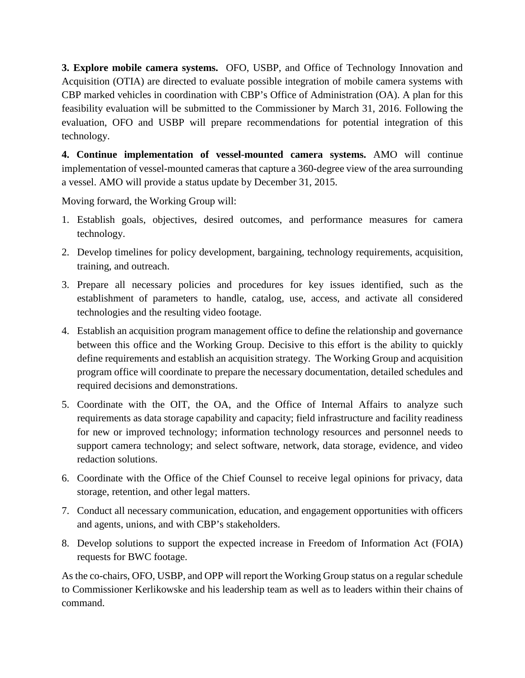**3. Explore mobile camera systems.** OFO, USBP, and Office of Technology Innovation and Acquisition (OTIA) are directed to evaluate possible integration of mobile camera systems with CBP marked vehicles in coordination with CBP's Office of Administration (OA). A plan for this feasibility evaluation will be submitted to the Commissioner by March 31, 2016. Following the evaluation, OFO and USBP will prepare recommendations for potential integration of this technology.

**4. Continue implementation of vessel-mounted camera systems.** AMO will continue implementation of vessel-mounted cameras that capture a 360-degree view of the area surrounding a vessel. AMO will provide a status update by December 31, 2015.

Moving forward, the Working Group will:

- 1. Establish goals, objectives, desired outcomes, and performance measures for camera technology.
- 2. Develop timelines for policy development, bargaining, technology requirements, acquisition, training, and outreach.
- 3. Prepare all necessary policies and procedures for key issues identified, such as the establishment of parameters to handle, catalog, use, access, and activate all considered technologies and the resulting video footage.
- 4. Establish an acquisition program management office to define the relationship and governance between this office and the Working Group. Decisive to this effort is the ability to quickly define requirements and establish an acquisition strategy. The Working Group and acquisition program office will coordinate to prepare the necessary documentation, detailed schedules and required decisions and demonstrations.
- 5. Coordinate with the OIT, the OA, and the Office of Internal Affairs to analyze such requirements as data storage capability and capacity; field infrastructure and facility readiness for new or improved technology; information technology resources and personnel needs to support camera technology; and select software, network, data storage, evidence, and video redaction solutions.
- 6. Coordinate with the Office of the Chief Counsel to receive legal opinions for privacy, data storage, retention, and other legal matters.
- 7. Conduct all necessary communication, education, and engagement opportunities with officers and agents, unions, and with CBP's stakeholders.
- 8. Develop solutions to support the expected increase in Freedom of Information Act (FOIA) requests for BWC footage.

As the co-chairs, OFO, USBP, and OPP will report the Working Group status on a regular schedule to Commissioner Kerlikowske and his leadership team as well as to leaders within their chains of command.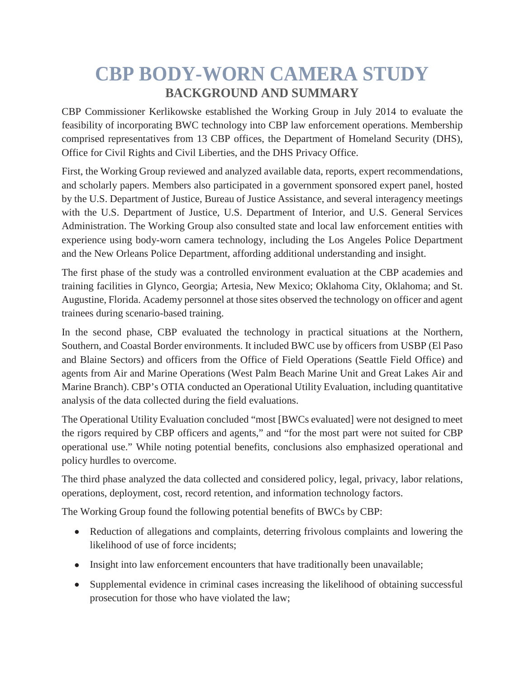### **CBP BODY-WORN CAMERA STUDY BACKGROUND AND SUMMARY**

CBP Commissioner Kerlikowske established the Working Group in July 2014 to evaluate the feasibility of incorporating BWC technology into CBP law enforcement operations. Membership comprised representatives from 13 CBP offices, the Department of Homeland Security (DHS), Office for Civil Rights and Civil Liberties, and the DHS Privacy Office.

First, the Working Group reviewed and analyzed available data, reports, expert recommendations, and scholarly papers. Members also participated in a government sponsored expert panel, hosted by the U.S. Department of Justice, Bureau of Justice Assistance, and several interagency meetings with the U.S. Department of Justice, U.S. Department of Interior, and U.S. General Services Administration. The Working Group also consulted state and local law enforcement entities with experience using body-worn camera technology, including the Los Angeles Police Department and the New Orleans Police Department, affording additional understanding and insight.

The first phase of the study was a controlled environment evaluation at the CBP academies and training facilities in Glynco, Georgia; Artesia, New Mexico; Oklahoma City, Oklahoma; and St. Augustine, Florida. Academy personnel at those sites observed the technology on officer and agent trainees during scenario-based training.

In the second phase, CBP evaluated the technology in practical situations at the Northern, Southern, and Coastal Border environments. It included BWC use by officers from USBP (El Paso and Blaine Sectors) and officers from the Office of Field Operations (Seattle Field Office) and agents from Air and Marine Operations (West Palm Beach Marine Unit and Great Lakes Air and Marine Branch). CBP's OTIA conducted an Operational Utility Evaluation, including quantitative analysis of the data collected during the field evaluations.

The Operational Utility Evaluation concluded "most [BWCs evaluated] were not designed to meet the rigors required by CBP officers and agents," and "for the most part were not suited for CBP operational use." While noting potential benefits, conclusions also emphasized operational and policy hurdles to overcome.

The third phase analyzed the data collected and considered policy, legal, privacy, labor relations, operations, deployment, cost, record retention, and information technology factors.

The Working Group found the following potential benefits of BWCs by CBP:

- Reduction of allegations and complaints, deterring frivolous complaints and lowering the likelihood of use of force incidents;
- Insight into law enforcement encounters that have traditionally been unavailable;
- Supplemental evidence in criminal cases increasing the likelihood of obtaining successful prosecution for those who have violated the law;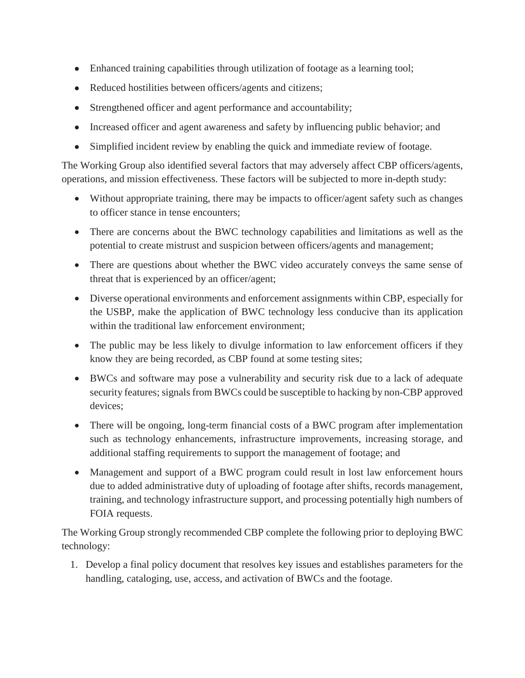- Enhanced training capabilities through utilization of footage as a learning tool;
- Reduced hostilities between officers/agents and citizens;
- Strengthened officer and agent performance and accountability;
- Increased officer and agent awareness and safety by influencing public behavior; and
- Simplified incident review by enabling the quick and immediate review of footage.

The Working Group also identified several factors that may adversely affect CBP officers/agents, operations, and mission effectiveness. These factors will be subjected to more in-depth study:

- Without appropriate training, there may be impacts to officer/agent safety such as changes to officer stance in tense encounters;
- There are concerns about the BWC technology capabilities and limitations as well as the potential to create mistrust and suspicion between officers/agents and management;
- There are questions about whether the BWC video accurately conveys the same sense of threat that is experienced by an officer/agent;
- Diverse operational environments and enforcement assignments within CBP, especially for the USBP, make the application of BWC technology less conducive than its application within the traditional law enforcement environment;
- The public may be less likely to divulge information to law enforcement officers if they know they are being recorded, as CBP found at some testing sites;
- BWCs and software may pose a vulnerability and security risk due to a lack of adequate security features; signals from BWCs could be susceptible to hacking by non-CBP approved devices;
- There will be ongoing, long-term financial costs of a BWC program after implementation such as technology enhancements, infrastructure improvements, increasing storage, and additional staffing requirements to support the management of footage; and
- Management and support of a BWC program could result in lost law enforcement hours due to added administrative duty of uploading of footage after shifts, records management, training, and technology infrastructure support, and processing potentially high numbers of FOIA requests.

The Working Group strongly recommended CBP complete the following prior to deploying BWC technology:

1. Develop a final policy document that resolves key issues and establishes parameters for the handling, cataloging, use, access, and activation of BWCs and the footage.